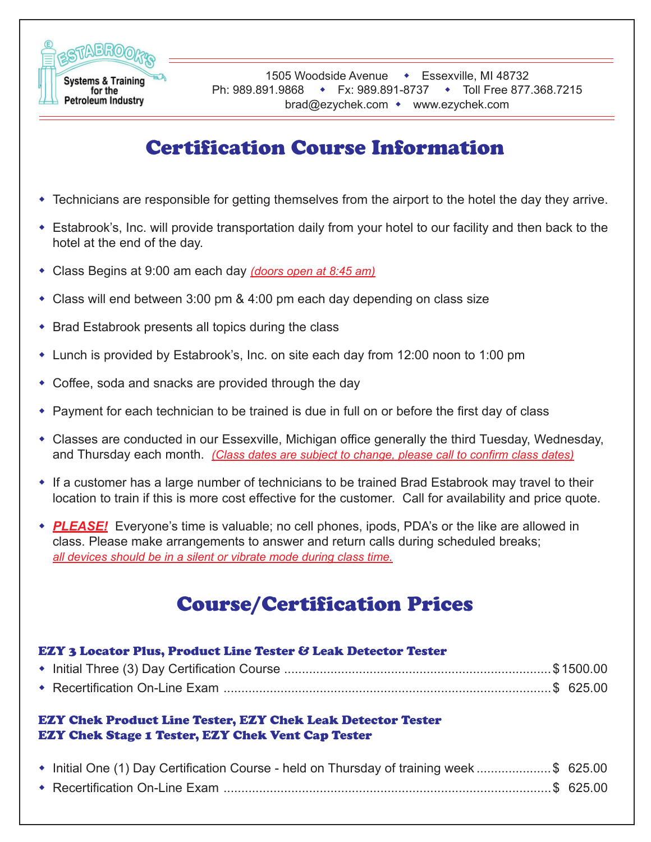

# Certification Course Information

- Technicians are responsible for getting themselves from the airport to the hotel the day they arrive.
- Estabrook's, Inc. will provide transportation daily from your hotel to our facility and then back to the hotel at the end of the day.
- Class Begins at 9:00 am each day *(doors open at 8:45 am)*
- Class will end between 3:00 pm & 4:00 pm each day depending on class size
- Brad Estabrook presents all topics during the class
- Lunch is provided by Estabrook's, Inc. on site each day from 12:00 noon to 1:00 pm
- Coffee, soda and snacks are provided through the day
- Payment for each technician to be trained is due in full on or before the first day of class
- Classes are conducted in our Essexville, Michigan office generally the third Tuesday, Wednesday, and Thursday each month. *(Class dates are subject to change, please call to confirm class dates)*
- If a customer has a large number of technicians to be trained Brad Estabrook may travel to their location to train if this is more cost effective for the customer. Call for availability and price quote.
- *PLEASE!* Everyone's time is valuable; no cell phones, ipods, PDA's or the like are allowed in class. Please make arrangements to answer and return calls during scheduled breaks; *all devices should be in a silent or vibrate mode during class time.*

# Course/Certification Prices

| <b>EZY 3 Locator Plus, Product Line Tester &amp; Leak Detector Tester</b>                                                      |  |  |  |
|--------------------------------------------------------------------------------------------------------------------------------|--|--|--|
|                                                                                                                                |  |  |  |
|                                                                                                                                |  |  |  |
| <b>EZY Chek Product Line Tester, EZY Chek Leak Detector Tester</b><br><b>EZY Chek Stage 1 Tester, EZY Chek Vent Cap Tester</b> |  |  |  |
|                                                                                                                                |  |  |  |
| ◆ Initial One (1) Day Certification Course - held on Thursday of training week \$ 625.00                                       |  |  |  |
|                                                                                                                                |  |  |  |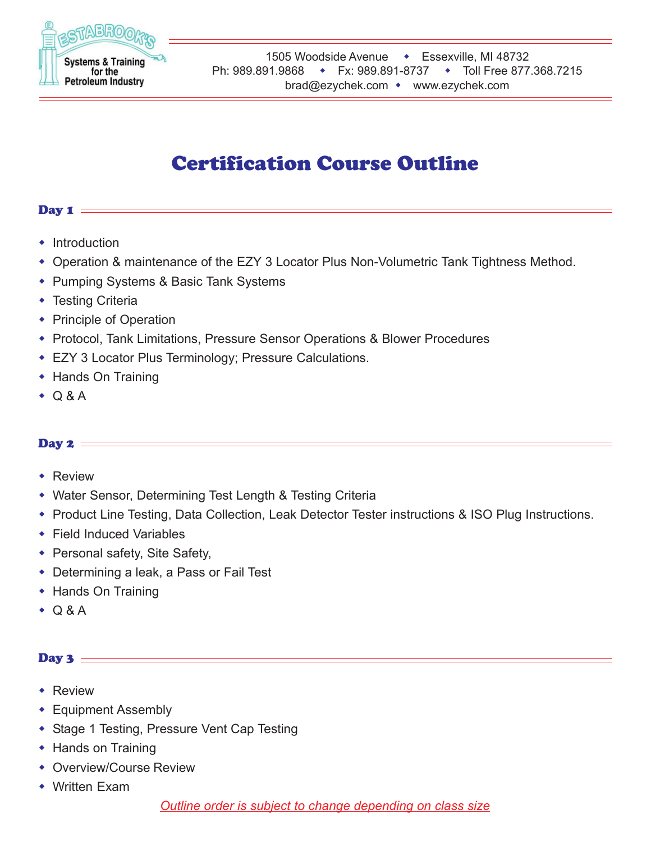

## Certification Course Outline

## Day  $\mathbf{1}$  =

- $\cdot$  Introduction
- Operation & maintenance of the EZY 3 Locator Plus Non-Volumetric Tank Tightness Method.
- Pumping Systems & Basic Tank Systems
- Testing Criteria
- Principle of Operation
- Protocol, Tank Limitations, Pressure Sensor Operations & Blower Procedures
- EZY 3 Locator Plus Terminology; Pressure Calculations.
- ◆ Hands On Training
- $\bullet$  Q & A

## Day  $2 =$

- **\*** Review
- Water Sensor, Determining Test Length & Testing Criteria
- Product Line Testing, Data Collection, Leak Detector Tester instructions & ISO Plug Instructions.
- Field Induced Variables
- Personal safety, Site Safety,
- Determining a leak, a Pass or Fail Test
- Hands On Training
- $\bullet$  Q & A

## Day 3  $=$

- Review
- Equipment Assembly
- ◆ Stage 1 Testing, Pressure Vent Cap Testing
- ◆ Hands on Training
- Overview/Course Review
- Written Exam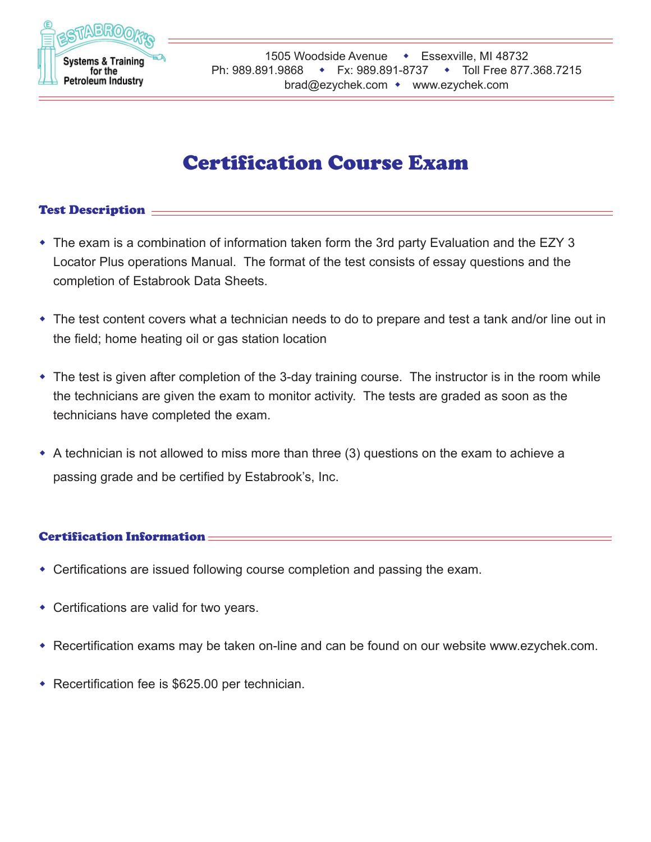

## Certification Course Exam

## Test Description  $\equiv$

- The exam is a combination of information taken form the 3rd party Evaluation and the EZY 3 Locator Plus operations Manual. The format of the test consists of essay questions and the completion of Estabrook Data Sheets.
- The test content covers what a technician needs to do to prepare and test a tank and/or line out in the field; home heating oil or gas station location
- The test is given after completion of the 3-day training course. The instructor is in the room while the technicians are given the exam to monitor activity. The tests are graded as soon as the technicians have completed the exam.
- $\bullet$  A technician is not allowed to miss more than three (3) questions on the exam to achieve a passing grade and be certified by Estabrook's, Inc.

## Certification Information

- Certifications are issued following course completion and passing the exam.
- Certifications are valid for two years.
- Recertification exams may be taken on-line and can be found on our website www.ezychek.com.
- Recertification fee is \$625.00 per technician.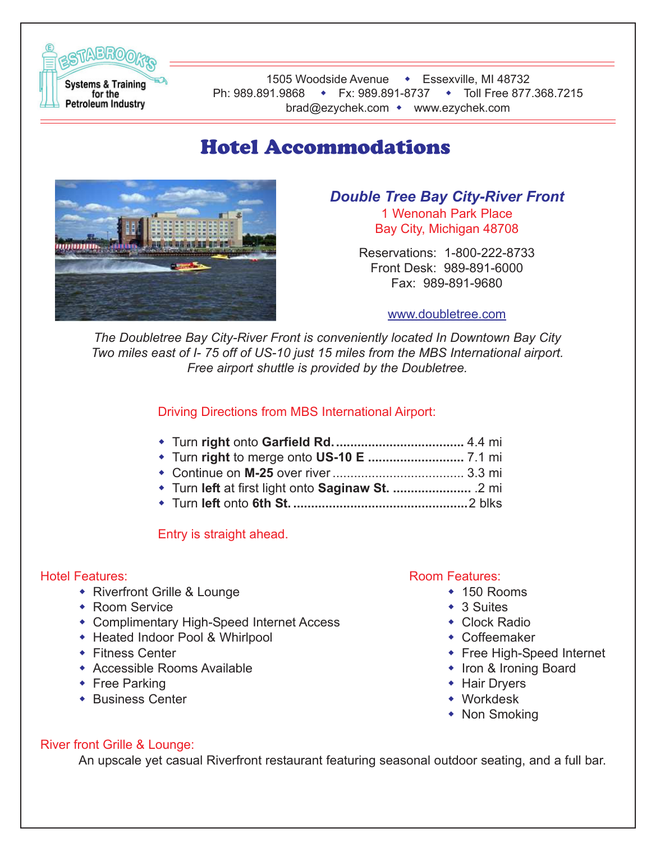

## Hotel Accommodations



*Double Tree Bay City-River Front* 1 Wenonah Park Place

> Bay City, Michigan 48708 Reservations: 1-800-222-8733

Front Desk: 989-891-6000 Fax: 989-891-9680

#### www.doubletree.com

*The Doubletree Bay City-River Front is conveniently located In Downtown Bay City Two miles east of I- 75 off of US-10 just 15 miles from the MBS International airport. Free airport shuttle is provided by the Doubletree.*

## Driving Directions from MBS International Airport:

- Turn **right** onto **Garfield Rd.....................................** 4.4 mi
- Turn **right** to merge onto **US-10 E ...........................** 7.1 mi
- Continue on **M-25** over river ..................................... 3.3 mi
- Turn **left** at first light onto **Saginaw St. ......................** .2 mi
- Turn **left** onto **6th St. .................................................**2 blks

Entry is straight ahead.

## Hotel Features:

- Riverfront Grille & Lounge
- Room Service
- Complimentary High-Speed Internet Access
- Heated Indoor Pool & Whirlpool
- ◆ Fitness Center
- Accessible Rooms Available
- ◆ Free Parking
- Business Center

#### Room Features:

- ◆ 150 Rooms
- ◆ 3 Suites
- ◆ Clock Radio
- Coffeemaker
- ◆ Free High-Speed Internet
- Iron & Ironing Board
- ◆ Hair Dryers
- Workdesk
- Non Smoking

## River front Grille & Lounge:

An upscale yet casual Riverfront restaurant featuring seasonal outdoor seating, and a full bar.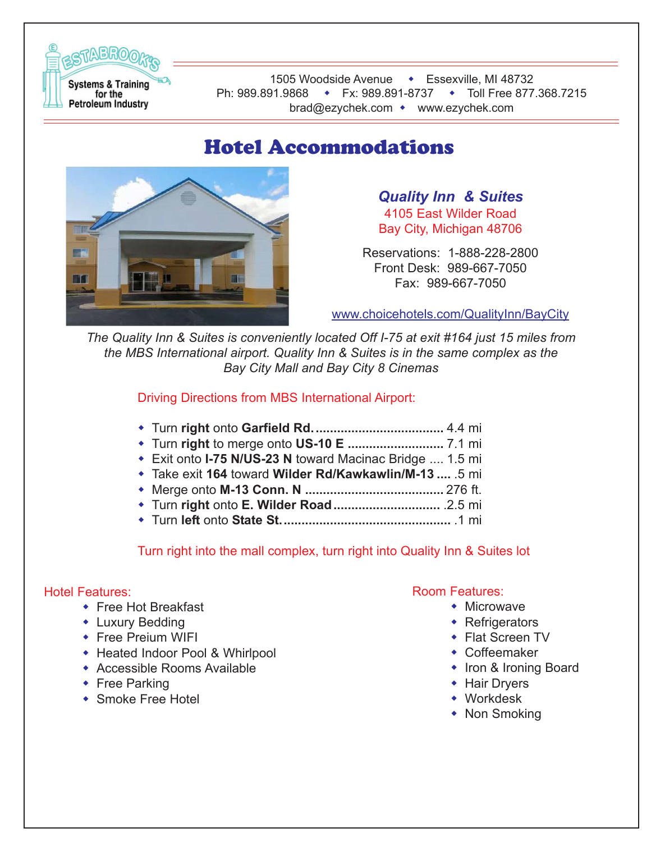

## Hotel Accommodations



*Quality Inn & Suites* 4105 East Wilder Road Bay City, Michigan 48706

Reservations: 1-888-228-2800 Front Desk: 989-667-7050 Fax: 989-667-7050

www.choicehotels.com/QualityInn/BayCity

*The Quality Inn & Suites is conveniently located Off I-75 at exit #164 just 15 miles from the MBS International airport. Quality Inn & Suites is in the same complex as the Bay City Mall and Bay City 8 Cinemas*

Driving Directions from MBS International Airport:

- Turn **right** onto **Garfield Rd.....................................** 4.4 mi
- Turn **right** to merge onto **US-10 E ...........................** 7.1 mi
- Exit onto **I-75 N/US-23 N** toward Macinac Bridge .... 1.5 mi
- Take exit **164** toward **Wilder Rd/Kawkawlin/M-13 ....** .5 mi
- Merge onto **M-13 Conn. N .......................................** 276 ft.
- Turn **right** onto **E. Wilder Road..............................** .2.5 mi
- Turn **left** onto **State St................................................** .1 mi

Turn right into the mall complex, turn right into Quality Inn & Suites lot

## Hotel Features:

- ◆ Free Hot Breakfast
- Luxury Bedding
- **\*** Free Preium WIFI
- ◆ Heated Indoor Pool & Whirlpool
- Accessible Rooms Available
- ◆ Free Parking
- Smoke Free Hotel

## Room Features:

- Microwave
- **\*** Refrigerators
- Flat Screen TV
- Coffeemaker
- **Iron & Ironing Board**
- ◆ Hair Dryers
- Workdesk
- Non Smoking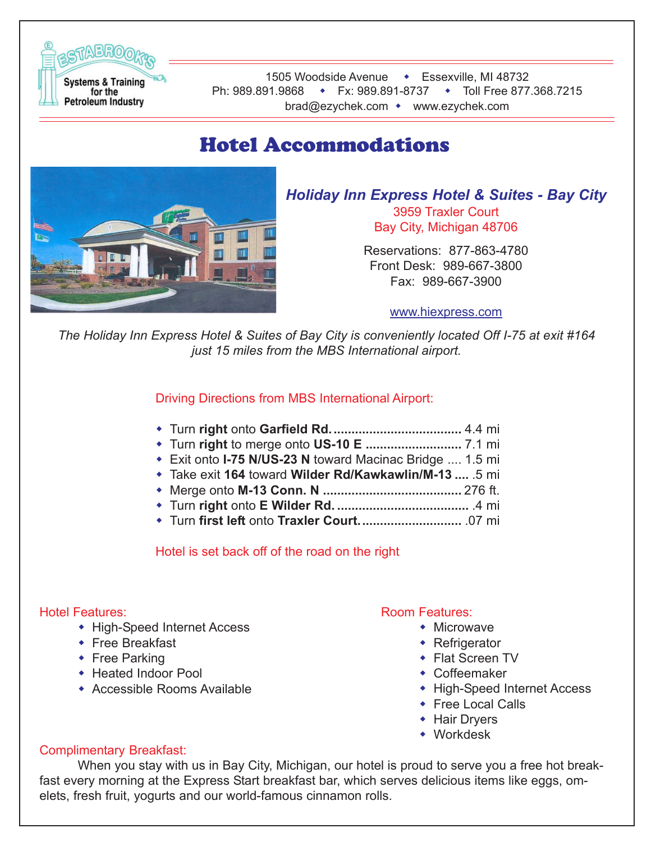

## Hotel Accommodations



*Holiday Inn Express Hotel & Suites - Bay City*

3959 Traxler Court Bay City, Michigan 48706

Reservations: 877-863-4780 Front Desk: 989-667-3800 Fax: 989-667-3900

#### www.hiexpress.com

*The Holiday Inn Express Hotel & Suites of Bay City is conveniently located Off I-75 at exit #164 just 15 miles from the MBS International airport.*

Driving Directions from MBS International Airport:

- Turn **right** onto **Garfield Rd.....................................** 4.4 mi
- Turn **right** to merge onto **US-10 E ...........................** 7.1 mi
- Exit onto **I-75 N/US-23 N** toward Macinac Bridge .... 1.5 mi
- Take exit **164** toward **Wilder Rd/Kawkawlin/M-13 ....** .5 mi
- Merge onto **M-13 Conn. N .......................................** 276 ft.
- Turn **right** onto **E Wilder Rd. .....................................** .4 mi
- Turn **first left** onto **Traxler Court.............................** .07 mi

Hotel is set back off of the road on the right

## Hotel Features:

- High-Speed Internet Access
- ◆ Free Breakfast
- ◆ Free Parking
- ◆ Heated Indoor Pool
- Accessible Rooms Available

## Room Features:

- Microwave
- ◆ Refrigerator
- Flat Screen TV
- Coffeemaker
- High-Speed Internet Access
- ◆ Free Local Calls
- **+ Hair Dryers**
- Workdesk

## Complimentary Breakfast:

When you stay with us in Bay City, Michigan, our hotel is proud to serve you a free hot breakfast every morning at the Express Start breakfast bar, which serves delicious items like eggs, omelets, fresh fruit, yogurts and our world-famous cinnamon rolls.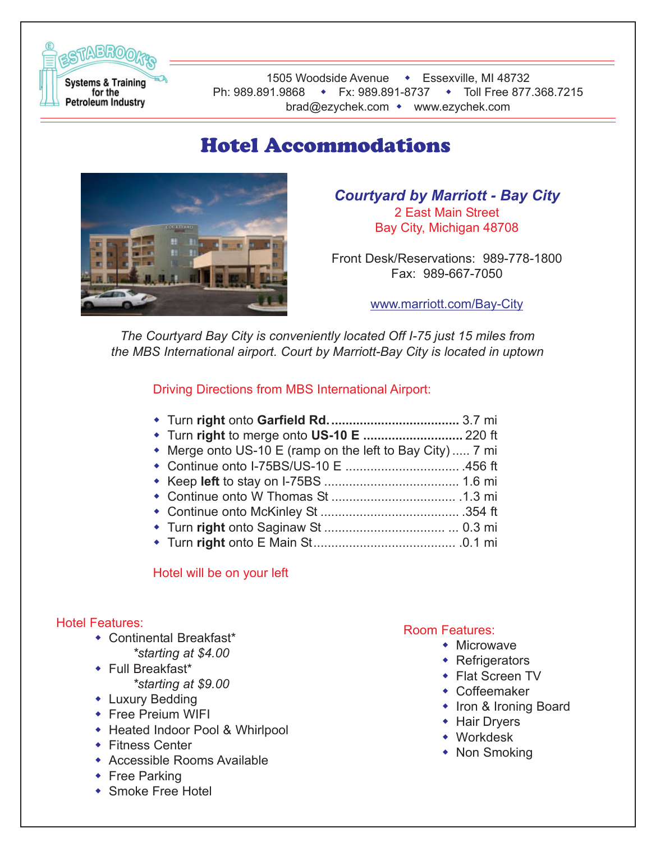

## Hotel Accommodations



*Courtyard by Marriott - Bay City* 2 East Main Street Bay City, Michigan 48708

Front Desk/Reservations: 989-778-1800 Fax: 989-667-7050

www.marriott.com/Bay-City

*The Courtyard Bay City is conveniently located Off I-75 just 15 miles from the MBS International airport. Court by Marriott-Bay City is located in uptown*

Driving Directions from MBS International Airport:

| • Merge onto US-10 E (ramp on the left to Bay City)  7 mi                                                       |
|-----------------------------------------------------------------------------------------------------------------|
|                                                                                                                 |
|                                                                                                                 |
|                                                                                                                 |
|                                                                                                                 |
|                                                                                                                 |
| the contract of the contract of the contract of the contract of the contract of the contract of the contract of |

Turn **right** onto E Main St........................................ .0.1 mi

#### Hotel will be on your left

#### Hotel Features:

- Continental Breakfast\*
	- *\*starting at \$4.00*
- Full Breakfast\* *\*starting at \$9.00*
- Luxury Bedding
- **\*** Free Preium WIFI
- Heated Indoor Pool & Whirlpool
- ◆ Fitness Center
- Accessible Rooms Available
- ◆ Free Parking
- Smoke Free Hotel

## Room Features:

- Microwave
- **\*** Refrigerators
- ◆ Flat Screen TV
- Coffeemaker
- Iron & Ironing Board
- ◆ Hair Dryers
- Workdesk
- Non Smoking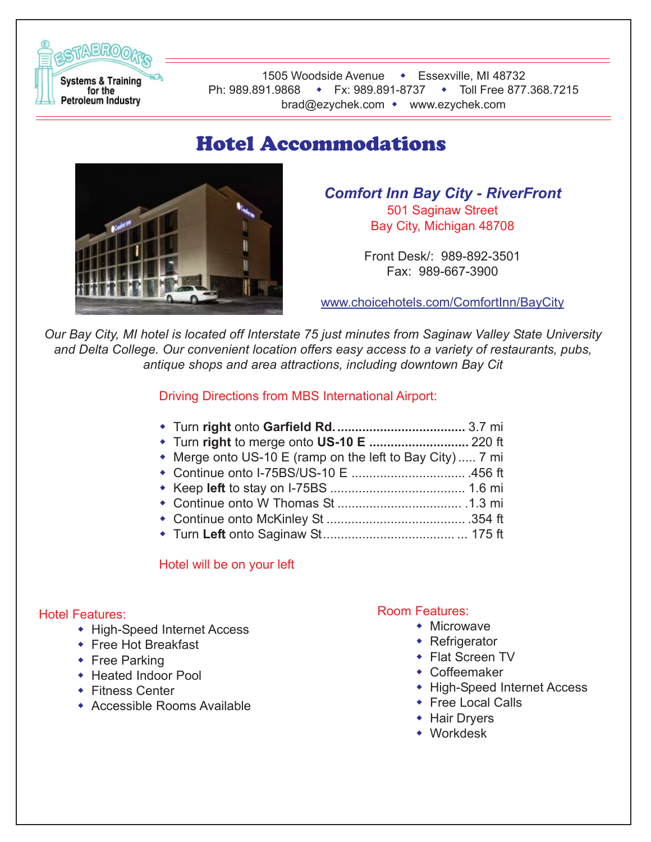

## Hotel Accommodations



*Comfort Inn Bay City - RiverFront* 501 Saginaw Street Bay City, Michigan 48708

> Front Desk/: 989-892-3501 Fax: 989-667-3900

www.choicehotels.com/ComfortInn/BayCity

*Our Bay City, MI hotel is located off Interstate 75 just minutes from Saginaw Valley State University and Delta College. Our convenient location offers easy access to a variety of restaurants, pubs, antique shops and area attractions, including downtown Bay Cit*

Driving Directions from MBS International Airport:

|--|--|--|--|

- Turn **right** to merge onto **US-10 E ............................** 220 ft
- Merge onto US-10 E (ramp on the left to Bay City) ..... 7 mi
- Continue onto I-75BS/US-10 E ................................ .456 ft
- Keep **left** to stay on I-75BS ...................................... 1.6 mi
- Continue onto W Thomas St ................................... .1.3 mi
- Continue onto McKinley St ....................................... .354 ft
- Turn **Left** onto Saginaw St..................................... ... 175 ft

## Hotel will be on your left

## Hotel Features:

- High-Speed Internet Access
- ◆ Free Hot Breakfast
- ◆ Free Parking
- Heated Indoor Pool
- ◆ Fitness Center
- Accessible Rooms Available

## Room Features:

- Microwave
	- ◆ Refrigerator
	- Flat Screen TV
	- Coffeemaker
	- High-Speed Internet Access
	- ◆ Free Local Calls
	- **+ Hair Dryers**
	- Workdesk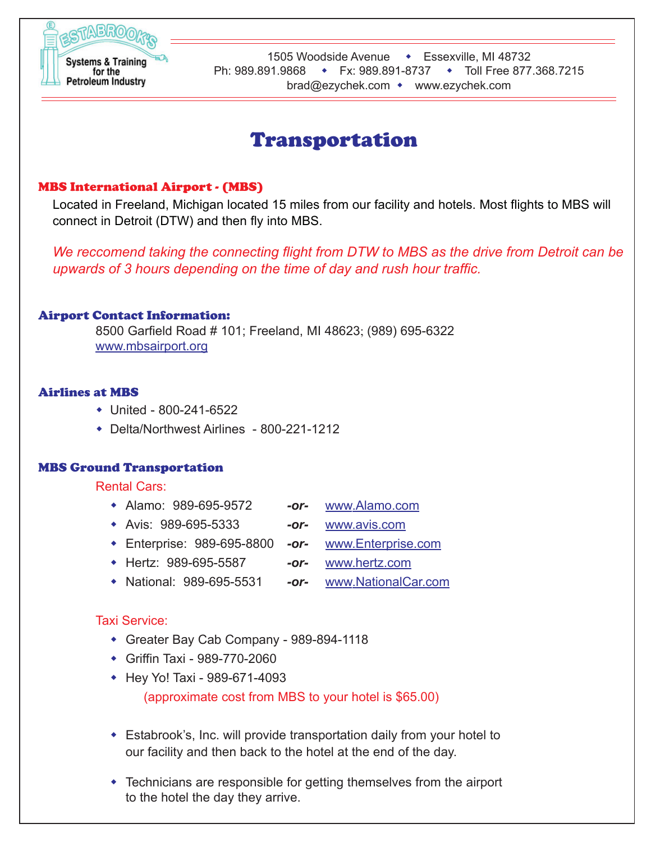

## Transportation

## MBS International Airport - (MBS)

Located in Freeland, Michigan located 15 miles from our facility and hotels. Most flights to MBS will connect in Detroit (DTW) and then fly into MBS.

*We reccomend taking the connecting flight from DTW to MBS as the drive from Detroit can be upwards of 3 hours depending on the time of day and rush hour traffic.*

#### Airport Contact Information:

8500 Garfield Road # 101; Freeland, MI 48623; (989) 695-6322 www.mbsairport.org

#### Airlines at MBS

- United 800-241-6522
- Delta/Northwest Airlines 800-221-1212

#### MBS Ground Transportation

#### Rental Cars:

- Alamo: 989-695-9572 *-or-* www.Alamo.com
- Avis: 989-695-5333 *-or-* www.avis.com
- 
- Enterprise: 989-695-8800 *-or-* www.Enterprise.com
- 
- Hertz: 989-695-5587 *-or-* www.hertz.com
	-
- National: 989-695-5531 *-or-* www.NationalCar.com

#### Taxi Service:

- Greater Bay Cab Company 989-894-1118
- Griffin Taxi 989-770-2060
- Hey Yo! Taxi 989-671-4093

(approximate cost from MBS to your hotel is \$65.00)

- Estabrook's, Inc. will provide transportation daily from your hotel to our facility and then back to the hotel at the end of the day.
- Technicians are responsible for getting themselves from the airport to the hotel the day they arrive.